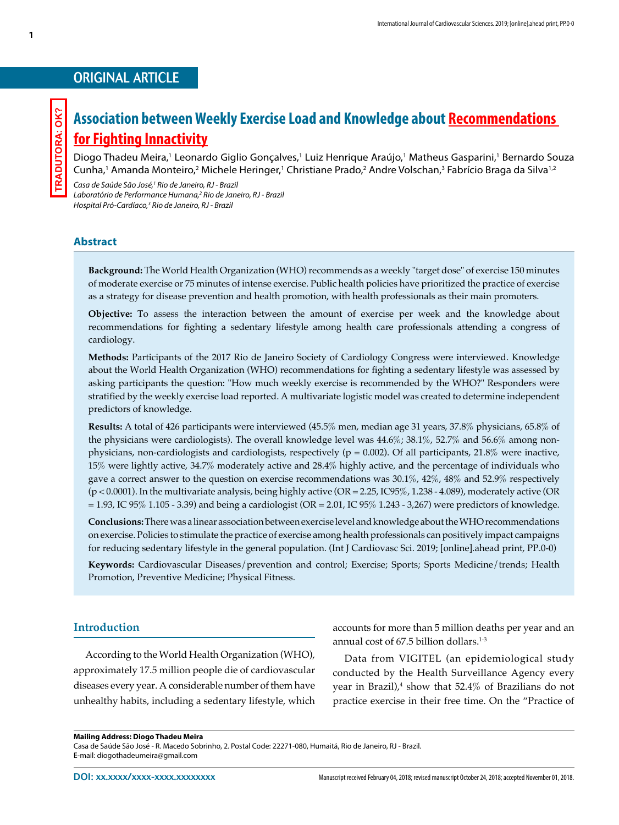## ORIGINAL ARTICLE

**1**

# **Association between Weekly Exercise Load and Knowledge about Recommendations for Fighting Innactivity**

Diogo Thadeu Meira,<sup>1</sup> Leonardo Giglio Gonçalves,<sup>1</sup> Luiz Henrique Araújo,<sup>1</sup> Matheus Gasparini,<sup>1</sup> Bernardo Souza Cunha,<sup>1</sup> Amanda Monteiro,<sup>2</sup> Michele Heringer,<sup>1</sup> Christiane Prado,<sup>2</sup> Andre Volschan,<sup>3</sup> Fabrício Braga da Silva<sup>1,2</sup>

*Casa de Saúde São José,1 Rio de Janeiro, RJ - Brazil Laboratório de Performance Humana,2 Rio de Janeiro, RJ - Brazil Hospital Pró-Cardíaco,3 Rio de Janeiro, RJ - Brazil*

## **Abstract**

**Background:** The World Health Organization (WHO) recommends as a weekly "target dose" of exercise 150 minutes of moderate exercise or 75 minutes of intense exercise. Public health policies have prioritized the practice of exercise as a strategy for disease prevention and health promotion, with health professionals as their main promoters.

**Objective:** To assess the interaction between the amount of exercise per week and the knowledge about recommendations for fighting a sedentary lifestyle among health care professionals attending a congress of cardiology.

**Methods:** Participants of the 2017 Rio de Janeiro Society of Cardiology Congress were interviewed. Knowledge about the World Health Organization (WHO) recommendations for fighting a sedentary lifestyle was assessed by asking participants the question: "How much weekly exercise is recommended by the WHO?" Responders were stratified by the weekly exercise load reported. A multivariate logistic model was created to determine independent predictors of knowledge.

**Results:** A total of 426 participants were interviewed (45.5% men, median age 31 years, 37.8% physicians, 65.8% of the physicians were cardiologists). The overall knowledge level was 44.6%; 38.1%, 52.7% and 56.6% among nonphysicians, non-cardiologists and cardiologists, respectively ( $p = 0.002$ ). Of all participants, 21.8% were inactive, 15% were lightly active, 34.7% moderately active and 28.4% highly active, and the percentage of individuals who gave a correct answer to the question on exercise recommendations was 30.1%, 42%, 48% and 52.9% respectively (p < 0.0001). In the multivariate analysis, being highly active (OR = 2.25, IC95%, 1.238 - 4.089), moderately active (OR  $= 1.93$ , IC 95% 1.105 - 3.39) and being a cardiologist (OR  $= 2.01$ , IC 95% 1.243 - 3,267) were predictors of knowledge.

**Conclusions:** There was a linear association between exercise level and knowledge about the WHO recommendations on exercise. Policies to stimulate the practice of exercise among health professionals can positively impact campaigns for reducing sedentary lifestyle in the general population. (Int J Cardiovasc Sci. 2019; [online].ahead print, PP.0-0)

**Keywords:** Cardiovascular Diseases/prevention and control; Exercise; Sports; Sports Medicine/trends; Health Promotion, Preventive Medicine; Physical Fitness.

## **Introduction**

According to the World Health Organization (WHO), approximately 17.5 million people die of cardiovascular diseases every year. A considerable number of them have unhealthy habits, including a sedentary lifestyle, which accounts for more than 5 million deaths per year and an annual cost of  $67.5$  billion dollars.<sup>1-3</sup>

Data from VIGITEL (an epidemiological study conducted by the Health Surveillance Agency every year in Brazil), $4$  show that 52.4 $\%$  of Brazilians do not practice exercise in their free time. On the "Practice of

#### **Mailing Address: Diogo Thadeu Meira**

Casa de Saúde São José - R. Macedo Sobrinho, 2. Postal Code: 22271-080, Humaitá, Rio de Janeiro, RJ - Brazil. E-mail: diogothadeumeira@gmail.com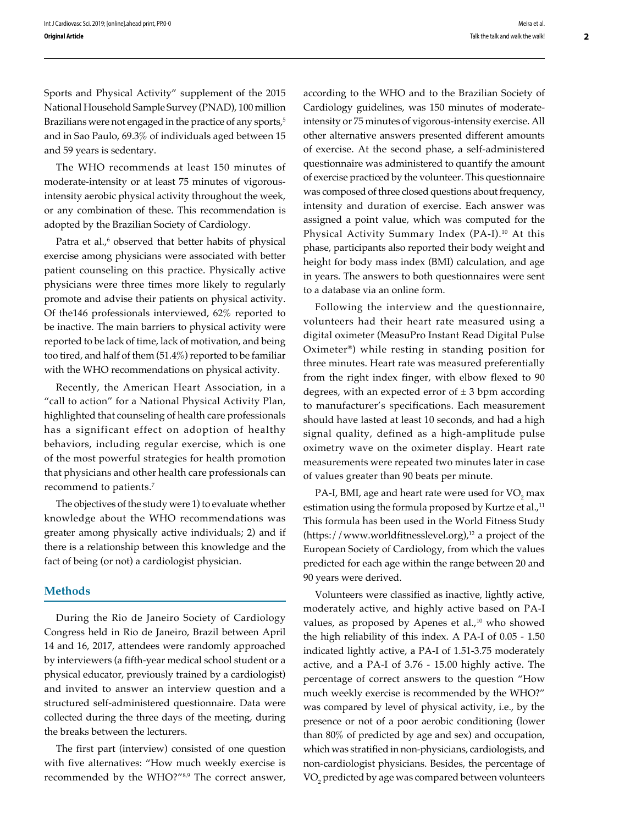Sports and Physical Activity" supplement of the 2015 National Household Sample Survey (PNAD), 100 million Brazilians were not engaged in the practice of any sports,<sup>5</sup> and in Sao Paulo, 69.3% of individuals aged between 15 and 59 years is sedentary.

The WHO recommends at least 150 minutes of moderate-intensity or at least 75 minutes of vigorousintensity aerobic physical activity throughout the week, or any combination of these. This recommendation is adopted by the Brazilian Society of Cardiology.

Patra et al.,<sup>6</sup> observed that better habits of physical exercise among physicians were associated with better patient counseling on this practice. Physically active physicians were three times more likely to regularly promote and advise their patients on physical activity. Of the146 professionals interviewed, 62% reported to be inactive. The main barriers to physical activity were reported to be lack of time, lack of motivation, and being too tired, and half of them (51.4%) reported to be familiar with the WHO recommendations on physical activity.

Recently, the American Heart Association, in a "call to action" for a National Physical Activity Plan, highlighted that counseling of health care professionals has a significant effect on adoption of healthy behaviors, including regular exercise, which is one of the most powerful strategies for health promotion that physicians and other health care professionals can recommend to patients.7

The objectives of the study were 1) to evaluate whether knowledge about the WHO recommendations was greater among physically active individuals; 2) and if there is a relationship between this knowledge and the fact of being (or not) a cardiologist physician.

## **Methods**

During the Rio de Janeiro Society of Cardiology Congress held in Rio de Janeiro, Brazil between April 14 and 16, 2017, attendees were randomly approached by interviewers (a fifth-year medical school student or a physical educator, previously trained by a cardiologist) and invited to answer an interview question and a structured self-administered questionnaire. Data were collected during the three days of the meeting, during the breaks between the lecturers.

The first part (interview) consisted of one question with five alternatives: "How much weekly exercise is recommended by the WHO?"8,9 The correct answer,

according to the WHO and to the Brazilian Society of Cardiology guidelines, was 150 minutes of moderateintensity or 75 minutes of vigorous-intensity exercise. All other alternative answers presented different amounts of exercise. At the second phase, a self-administered questionnaire was administered to quantify the amount of exercise practiced by the volunteer. This questionnaire was composed of three closed questions about frequency, intensity and duration of exercise. Each answer was assigned a point value, which was computed for the Physical Activity Summary Index (PA-I).<sup>10</sup> At this phase, participants also reported their body weight and height for body mass index (BMI) calculation, and age in years. The answers to both questionnaires were sent to a database via an online form.

Following the interview and the questionnaire, volunteers had their heart rate measured using a digital oximeter (MeasuPro Instant Read Digital Pulse Oximeter®) while resting in standing position for three minutes. Heart rate was measured preferentially from the right index finger, with elbow flexed to 90 degrees, with an expected error of  $\pm$  3 bpm according to manufacturer's specifications. Each measurement should have lasted at least 10 seconds, and had a high signal quality, defined as a high-amplitude pulse oximetry wave on the oximeter display. Heart rate measurements were repeated two minutes later in case of values greater than 90 beats per minute.

PA-I, BMI, age and heart rate were used for  $\rm VO_{2}$  max estimation using the formula proposed by Kurtze et al.,<sup>11</sup> This formula has been used in the World Fitness Study  $(\text{https://www.worldfitnesslevel.org})$ <sup>12</sup> a project of the European Society of Cardiology, from which the values predicted for each age within the range between 20 and 90 years were derived.

Volunteers were classified as inactive, lightly active, moderately active, and highly active based on PA-I values, as proposed by Apenes et al.,<sup>10</sup> who showed the high reliability of this index. A PA-I of 0.05 - 1.50 indicated lightly active, a PA-I of 1.51-3.75 moderately active, and a PA-I of 3.76 - 15.00 highly active. The percentage of correct answers to the question "How much weekly exercise is recommended by the WHO?" was compared by level of physical activity, i.e., by the presence or not of a poor aerobic conditioning (lower than 80% of predicted by age and sex) and occupation, which was stratified in non-physicians, cardiologists, and non-cardiologist physicians. Besides, the percentage of VO<sub>2</sub> predicted by age was compared between volunteers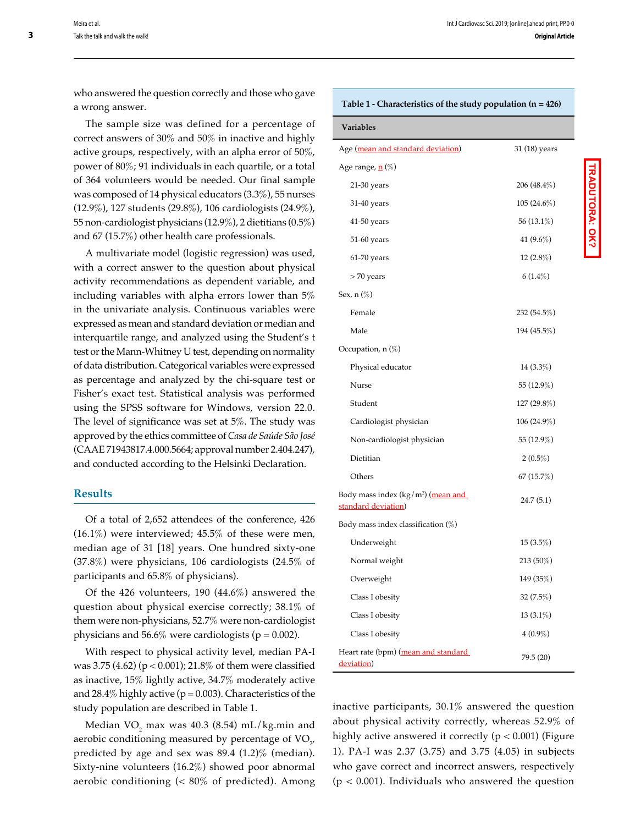who answered the question correctly and those who gave a wrong answer.

The sample size was defined for a percentage of correct answers of 30% and 50% in inactive and highly active groups, respectively, with an alpha error of 50%, power of 80%; 91 individuals in each quartile, or a total of 364 volunteers would be needed. Our final sample was composed of 14 physical educators (3.3%), 55 nurses (12.9%), 127 students (29.8%), 106 cardiologists (24.9%), 55 non-cardiologist physicians (12.9%), 2 dietitians (0.5%) and 67 (15.7%) other health care professionals.

A multivariate model (logistic regression) was used, with a correct answer to the question about physical activity recommendations as dependent variable, and including variables with alpha errors lower than 5% in the univariate analysis. Continuous variables were expressed as mean and standard deviation or median and interquartile range, and analyzed using the Student's t test or the Mann-Whitney U test, depending on normality of data distribution. Categorical variables were expressed as percentage and analyzed by the chi-square test or Fisher's exact test. Statistical analysis was performed using the SPSS software for Windows, version 22.0. The level of significance was set at 5%. The study was approved by the ethics committee of *Casa de Saúde São José* (CAAE 71943817.4.000.5664; approval number 2.404.247), and conducted according to the Helsinki Declaration.

### **Results**

Of a total of 2,652 attendees of the conference, 426  $(16.1\%)$  were interviewed; 45.5% of these were men, median age of 31 [18] years. One hundred sixty-one (37.8%) were physicians, 106 cardiologists (24.5% of participants and 65.8% of physicians).

Of the 426 volunteers, 190 (44.6%) answered the question about physical exercise correctly; 38.1% of them were non-physicians, 52.7% were non-cardiologist physicians and 56.6% were cardiologists ( $p = 0.002$ ).

With respect to physical activity level, median PA-I was 3.75 (4.62) (p < 0.001); 21.8% of them were classified as inactive, 15% lightly active, 34.7% moderately active and 28.4% highly active ( $p = 0.003$ ). Characteristics of the study population are described in Table 1.

Median  $\rm VO_{_2}$  max was 40.3 (8.54) mL/kg.min and aerobic conditioning measured by percentage of  $\mathrm{VO}_{2'}$ predicted by age and sex was 89.4 (1.2)% (median). Sixty-nine volunteers (16.2%) showed poor abnormal aerobic conditioning ( $\lt 80\%$  of predicted). Among

#### **Table 1 - Characteristics of the study population (n = 426)**

| Variables                                                             |               |
|-----------------------------------------------------------------------|---------------|
| Age (mean and standard deviation)                                     | 31 (18) years |
| Age range, <u>n</u> (%)                                               |               |
| 21-30 years                                                           | 206 (48.4%)   |
| 31-40 years                                                           | $105(24.6\%)$ |
| 41-50 years                                                           | 56 (13.1%)    |
| 51-60 years                                                           | 41 $(9.6\%)$  |
| $61-70$ years                                                         | $12(2.8\%)$   |
| > 70 years                                                            | 6(1.4%)       |
| Sex, n (%)                                                            |               |
| Female                                                                | 232 (54.5%)   |
| Male                                                                  | 194 (45.5%)   |
| Occupation, $n(\%)$                                                   |               |
| Physical educator                                                     | $14(3.3\%)$   |
| Nurse                                                                 | 55 (12.9%)    |
| Student                                                               | $127(29.8\%)$ |
| Cardiologist physician                                                | $106(24.9\%)$ |
| Non-cardiologist physician                                            | 55 (12.9%)    |
| Dietitian                                                             | $2(0.5\%)$    |
| Others                                                                | 67(15.7%)     |
| Body mass index (kg/m <sup>2</sup> ) (mean and<br>standard deviation) | 24.7 (5.1)    |
| Body mass index classification $(\%)$                                 |               |
| Underweight                                                           | $15(3.5\%)$   |
| Normal weight                                                         | 213 (50%)     |
| Overweight                                                            | 149 (35%)     |
| Class I obesity                                                       | 32(7.5%)      |
| Class I obesity                                                       | $13(3.1\%)$   |
| Class I obesity                                                       | $4(0.9\%)$    |
| Heart rate (bpm) (mean and standard<br>deviation)                     | 79.5 (20)     |

inactive participants, 30.1% answered the question about physical activity correctly, whereas 52.9% of highly active answered it correctly ( $p < 0.001$ ) (Figure 1). PA-I was 2.37 (3.75) and 3.75 (4.05) in subjects who gave correct and incorrect answers, respectively  $(p < 0.001)$ . Individuals who answered the question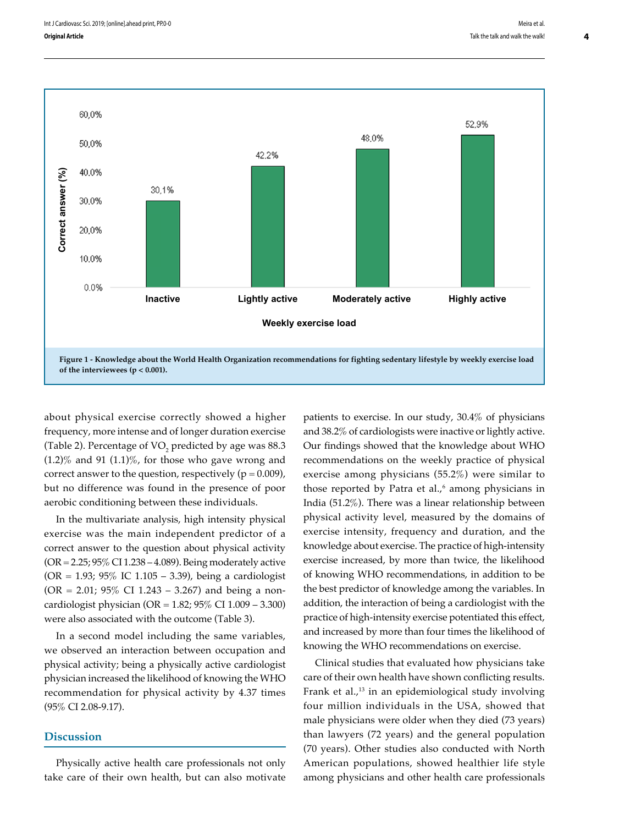

about physical exercise correctly showed a higher frequency, more intense and of longer duration exercise (Table 2). Percentage of VO<sub>2</sub> predicted by age was  $88.3$  $(1.2)$ % and 91  $(1.1)$ %, for those who gave wrong and correct answer to the question, respectively  $(p = 0.009)$ , but no difference was found in the presence of poor aerobic conditioning between these individuals.

In the multivariate analysis, high intensity physical exercise was the main independent predictor of a correct answer to the question about physical activity (OR = 2.25; 95% CI 1.238 – 4.089). Being moderately active  $(OR = 1.93; 95\%$  IC 1.105 – 3.39), being a cardiologist  $(OR = 2.01; 95\% \text{ CI } 1.243 - 3.267)$  and being a noncardiologist physician (OR = 1.82; 95% CI 1.009 – 3.300) were also associated with the outcome (Table 3).

In a second model including the same variables, we observed an interaction between occupation and physical activity; being a physically active cardiologist physician increased the likelihood of knowing the WHO recommendation for physical activity by 4.37 times (95% CI 2.08-9.17).

## **Discussion**

Physically active health care professionals not only take care of their own health, but can also motivate patients to exercise. In our study, 30.4% of physicians and 38.2% of cardiologists were inactive or lightly active. Our findings showed that the knowledge about WHO recommendations on the weekly practice of physical exercise among physicians (55.2%) were similar to those reported by Patra et al.,<sup>6</sup> among physicians in India (51.2%). There was a linear relationship between physical activity level, measured by the domains of exercise intensity, frequency and duration, and the knowledge about exercise. The practice of high-intensity exercise increased, by more than twice, the likelihood of knowing WHO recommendations, in addition to be the best predictor of knowledge among the variables. In addition, the interaction of being a cardiologist with the practice of high-intensity exercise potentiated this effect, and increased by more than four times the likelihood of knowing the WHO recommendations on exercise.

Clinical studies that evaluated how physicians take care of their own health have shown conflicting results. Frank et al., $^{13}$  in an epidemiological study involving four million individuals in the USA, showed that male physicians were older when they died (73 years) than lawyers (72 years) and the general population (70 years). Other studies also conducted with North American populations, showed healthier life style among physicians and other health care professionals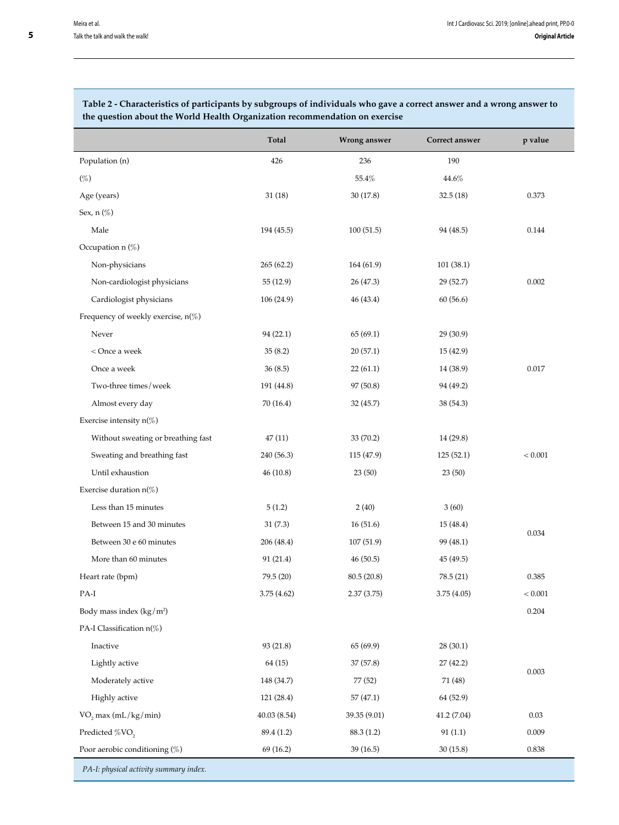## **Total Wrong answer Correct answer p value** Population (n)  $426$  236 190  $(\%)$  44.6% 46.8% 46.8% 46.8% 46.8% 46.8% 46.8% 46.8% 46.8% 46.9% 46.9% 46.9% 46.9% 46.9% 46.9% 46.9% 46.9% 46.9% 46.9% 47.9% 47.9% 47.9% 47.9% 47.9% 47.9% 47.9% 47.9% 47.9% 47.9% 47.9% 47.9% 47.9% 47.9% 47.9% 47.9% 47.9% Age (years) 30 (17.8) 32.5 (18) 30 (17.8) 32.5 (18) 30 (17.8) 32.5 (18) Sex, n (%) Male 194 (45.5) 194 (45.5) 100 (51.5) 94 (48.5) 0.144 Occupation n (%) Non-physicians 265 (62.2) 164 (61.9) 101 (38.1) Non-cardiologist physicians 55 (12.9) 26 (47.3) 29 (52.7) 0.002 Cardiologist physicians 106 (24.9) 46 (43.4) 60 (56.6) Frequency of weekly exercise, n(%) Never 29 (30.9) 94 (22.1) 65 (69.1) 96 (30.9) 0.017 < Once a week 35 (8.2) 20 (57.1) 15 (42.9) Once a week 36 (8.5) 22 (61.1) 14 (38.9) Two-three times/week 191 (44.8) 97 (50.8) 94 (49.2) Almost every day  $70 (16.4)$   $32 (45.7)$   $38 (54.3)$ Exercise intensity n(%) Without sweating or breathing fast 47 (11) 33 (70.2) 14 (29.8) Sweating and breathing fast 240 (56.3) 115 (47.9) 125 (52.1)  $125$  (52.1)  $125$  (52.1) Until exhaustion 46 (10.8) 23 (50) 23 (50) 23 (50) Exercise duration n(%) Less than 15 minutes 5 (1.2) 2 (40) 3 (60) 0.034 Between 15 and 30 minutes 31 (7.3) 16 (51.6) 15 (48.4) Between 30 e 60 minutes 206 (48.4) 107 (51.9) 99 (48.1) More than 60 minutes 91 (21.4) 46 (50.5) 45 (49.5) Heart rate (bpm) 79.5 (20) 80.5 (20.8) 78.5 (21) 0.385 PA-I 3.75 (4.62) 2.37 (3.75) 3.75 (4.05) < 0.001 Body mass index (kg/m2  $)$  0.204 PA-I Classification n(%) Inactive 93 (21.8) 65 (69.9) 28 (30.1) 0.003 Lightly active 64 (15) 37 (57.8) 27 (42.2) Moderately active 148 (34.7) 77 (52) 71 (48) Highly active 121 (28.4) 57 (47.1) 64 (52.9)  $\text{VO}_2$  max (mL/kg/min) 40.03 (8.54) 39.35 (9.01) 41.2 (7.04) 41.2

Predicted %VO<sub>2</sub> 89.4 (1.2) 88.3 (1.2) 91 (1.1) 0.009 Poor aerobic conditioning (%) 69 (16.2) 39 (16.5) 30 (15.8) 30 (15.8) 0.838

**Table 2 - Characteristics of participants by subgroups of individuals who gave a correct answer and a wrong answer to the question about the World Health Organization recommendation on exercise**

*PA-I: physical activity summary index.*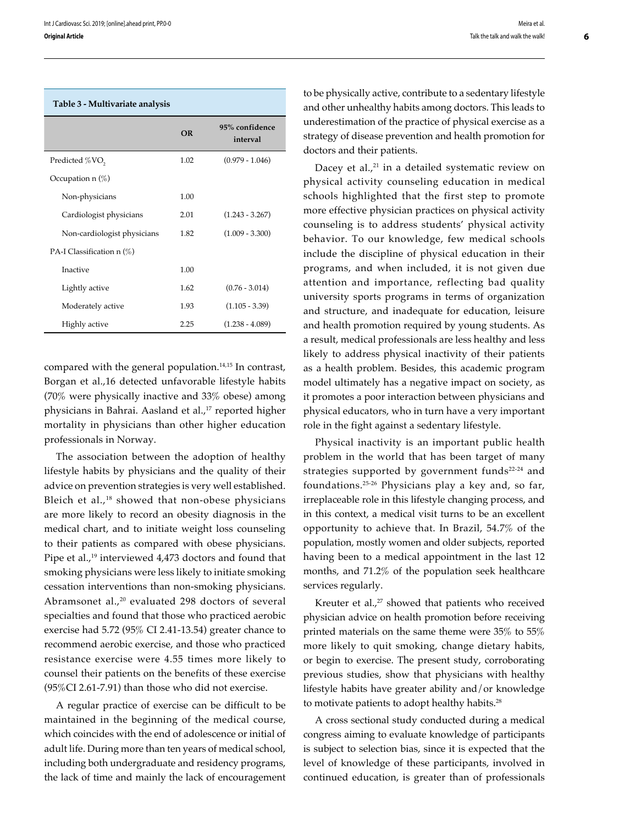|                             | OR   | 95% confidence<br>interval |
|-----------------------------|------|----------------------------|
| Predicted %VO <sub>2</sub>  | 1.02 | $(0.979 - 1.046)$          |
| Occupation $n(\%)$          |      |                            |
| Non-physicians              | 1.00 |                            |
| Cardiologist physicians     | 2.01 | $(1.243 - 3.267)$          |
| Non-cardiologist physicians | 1.82 | $(1.009 - 3.300)$          |
| PA-I Classification $n(\%)$ |      |                            |
| Inactive                    | 1.00 |                            |
| Lightly active              | 1.62 | $(0.76 - 3.014)$           |
| Moderately active           | 1.93 | $(1.105 - 3.39)$           |
| Highly active               | 2.25 | $(1.238 - 4.089)$          |

#### **Table 3 - Multivariate analysis**

compared with the general population.<sup>14,15</sup> In contrast, Borgan et al.,16 detected unfavorable lifestyle habits (70% were physically inactive and 33% obese) among physicians in Bahrai. Aasland et al.,<sup>17</sup> reported higher mortality in physicians than other higher education professionals in Norway.

The association between the adoption of healthy lifestyle habits by physicians and the quality of their advice on prevention strategies is very well established. Bleich et al.,<sup>18</sup> showed that non-obese physicians are more likely to record an obesity diagnosis in the medical chart, and to initiate weight loss counseling to their patients as compared with obese physicians. Pipe et al.,<sup>19</sup> interviewed 4,473 doctors and found that smoking physicians were less likely to initiate smoking cessation interventions than non-smoking physicians. Abramsonet al.,<sup>20</sup> evaluated 298 doctors of several specialties and found that those who practiced aerobic exercise had 5.72 (95% CI 2.41-13.54) greater chance to recommend aerobic exercise, and those who practiced resistance exercise were 4.55 times more likely to counsel their patients on the benefits of these exercise (95%CI 2.61-7.91) than those who did not exercise.

A regular practice of exercise can be difficult to be maintained in the beginning of the medical course, which coincides with the end of adolescence or initial of adult life. During more than ten years of medical school, including both undergraduate and residency programs, the lack of time and mainly the lack of encouragement

to be physically active, contribute to a sedentary lifestyle and other unhealthy habits among doctors. This leads to underestimation of the practice of physical exercise as a strategy of disease prevention and health promotion for doctors and their patients.

Dacey et al., $21$  in a detailed systematic review on physical activity counseling education in medical schools highlighted that the first step to promote more effective physician practices on physical activity counseling is to address students' physical activity behavior. To our knowledge, few medical schools include the discipline of physical education in their programs, and when included, it is not given due attention and importance, reflecting bad quality university sports programs in terms of organization and structure, and inadequate for education, leisure and health promotion required by young students. As a result, medical professionals are less healthy and less likely to address physical inactivity of their patients as a health problem. Besides, this academic program model ultimately has a negative impact on society, as it promotes a poor interaction between physicians and physical educators, who in turn have a very important role in the fight against a sedentary lifestyle.

Physical inactivity is an important public health problem in the world that has been target of many strategies supported by government funds $22-24$  and foundations.25-26 Physicians play a key and, so far, irreplaceable role in this lifestyle changing process, and in this context, a medical visit turns to be an excellent opportunity to achieve that. In Brazil, 54.7% of the population, mostly women and older subjects, reported having been to a medical appointment in the last 12 months, and 71.2% of the population seek healthcare services regularly.

Kreuter et al.,<sup>27</sup> showed that patients who received physician advice on health promotion before receiving printed materials on the same theme were 35% to 55% more likely to quit smoking, change dietary habits, or begin to exercise. The present study, corroborating previous studies, show that physicians with healthy lifestyle habits have greater ability and/or knowledge to motivate patients to adopt healthy habits.<sup>28</sup>

A cross sectional study conducted during a medical congress aiming to evaluate knowledge of participants is subject to selection bias, since it is expected that the level of knowledge of these participants, involved in continued education, is greater than of professionals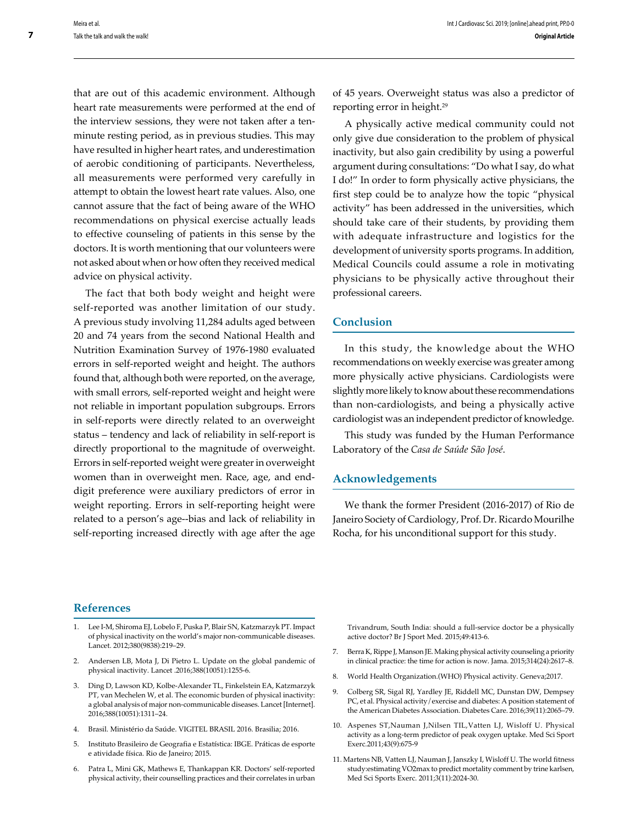that are out of this academic environment. Although heart rate measurements were performed at the end of the interview sessions, they were not taken after a tenminute resting period, as in previous studies. This may have resulted in higher heart rates, and underestimation of aerobic conditioning of participants. Nevertheless, all measurements were performed very carefully in attempt to obtain the lowest heart rate values. Also, one cannot assure that the fact of being aware of the WHO recommendations on physical exercise actually leads to effective counseling of patients in this sense by the doctors. It is worth mentioning that our volunteers were not asked about when or how often they received medical advice on physical activity.

The fact that both body weight and height were self-reported was another limitation of our study. A previous study involving 11,284 adults aged between 20 and 74 years from the second National Health and Nutrition Examination Survey of 1976-1980 evaluated errors in self-reported weight and height. The authors found that, although both were reported, on the average, with small errors, self-reported weight and height were not reliable in important population subgroups. Errors in self-reports were directly related to an overweight status – tendency and lack of reliability in self-report is directly proportional to the magnitude of overweight. Errors in self-reported weight were greater in overweight women than in overweight men. Race, age, and enddigit preference were auxiliary predictors of error in weight reporting. Errors in self-reporting height were related to a person's age--bias and lack of reliability in self-reporting increased directly with age after the age

of 45 years. Overweight status was also a predictor of reporting error in height.29

A physically active medical community could not only give due consideration to the problem of physical inactivity, but also gain credibility by using a powerful argument during consultations: "Do what I say, do what I do!" In order to form physically active physicians, the first step could be to analyze how the topic "physical activity" has been addressed in the universities, which should take care of their students, by providing them with adequate infrastructure and logistics for the development of university sports programs. In addition, Medical Councils could assume a role in motivating physicians to be physically active throughout their professional careers.

## **Conclusion**

In this study, the knowledge about the WHO recommendations on weekly exercise was greater among more physically active physicians. Cardiologists were slightly more likely to know about these recommendations than non-cardiologists, and being a physically active cardiologist was an independent predictor of knowledge.

This study was funded by the Human Performance Laboratory of the *Casa de Saúde São José*.

## **Acknowledgements**

We thank the former President (2016-2017) of Rio de Janeiro Society of Cardiology, Prof. Dr. Ricardo Mourilhe Rocha, for his unconditional support for this study.

### **References**

- 1. Lee I-M, Shiroma EJ, Lobelo F, Puska P, Blair SN, Katzmarzyk PT. Impact of physical inactivity on the world's major non-communicable diseases. Lancet. 2012;380(9838):219–29.
- 2. Andersen LB, Mota J, Di Pietro L. Update on the global pandemic of physical inactivity. Lancet .2016;388(10051):1255-6.
- 3. Ding D, Lawson KD, Kolbe-Alexander TL, Finkelstein EA, Katzmarzyk PT, van Mechelen W, et al. The economic burden of physical inactivity: a global analysis of major non-communicable diseases. Lancet [Internet]. 2016;388(10051):1311–24.
- 4. Brasil. Ministério da Saúde. VIGITEL BRASIL 2016. Brasilia; 2016.
- 5. Instituto Brasileiro de Geografia e Estatística: IBGE. Práticas de esporte e atividade física. Rio de Janeiro; 2015.
- 6. Patra L, Mini GK, Mathews E, Thankappan KR. Doctors' self-reported physical activity, their counselling practices and their correlates in urban

Trivandrum, South India: should a full-service doctor be a physically active doctor? Br J Sport Med. 2015;49:413-6.

- 7. Berra K, Rippe J, Manson JE. Making physical activity counseling a priority in clinical practice: the time for action is now. Jama. 2015;314(24):2617–8.
- 8. World Health Organization.(WHO) Physical activity. Geneva;2017.
- 9. Colberg SR, Sigal RJ, Yardley JE, Riddell MC, Dunstan DW, Dempsey PC, et al. Physical activity/exercise and diabetes: A position statement of the American Diabetes Association. Diabetes Care. 2016;39(11):2065–79.
- 10. Aspenes ST,Nauman J,Nilsen TIL,Vatten LJ, Wisloff U. Physical activity as a long-term predictor of peak oxygen uptake. Med Sci Sport Exerc.2011;43(9):675-9
- 11. Martens NB, Vatten LJ, Nauman J, Janszky I, Wisloff U. The world fitness study:estimating VO2max to predict mortality comment by trine karlsen, Med Sci Sports Exerc. 2011;3(11):2024-30.